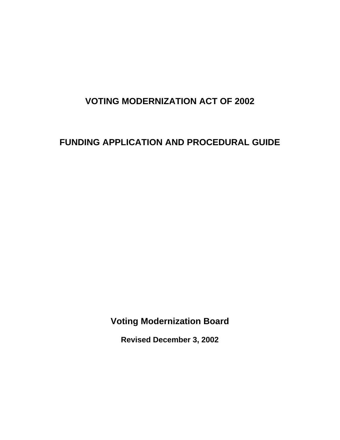# **VOTING MODERNIZATION ACT OF 2002**

# **FUNDING APPLICATION AND PROCEDURAL GUIDE**

**Voting Modernization Board**

**Revised December 3, 2002**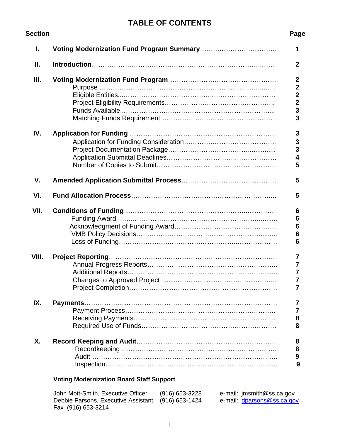# **TABLE OF CONTENTS**

| Section | Page                                       |
|---------|--------------------------------------------|
| L.      | 1                                          |
| Ⅱ.      | $\mathbf{2}$                               |
| III.    | $\boldsymbol{2}$                           |
|         | $\mathbf{2}$                               |
|         | $\begin{array}{c} 2 \\ 2 \\ 3 \end{array}$ |
|         |                                            |
|         | $\overline{\mathbf{3}}$                    |
|         |                                            |
| IV.     | 3                                          |
|         |                                            |
|         | $\frac{3}{3}$                              |
|         | $\overline{\mathbf{4}}$                    |
|         | 5                                          |
| V.      | 5                                          |
| VI.     | 5                                          |
| VII.    | 6                                          |
|         | 6                                          |
|         | $\bf 6$                                    |
|         | 6                                          |
|         | 6                                          |
|         |                                            |
| VIII.   | 7                                          |
|         | 7                                          |
|         | 7                                          |
|         | 7                                          |
|         | 7                                          |
| IX.     | 7                                          |
|         | 7                                          |
|         | 8                                          |
|         | 8                                          |
| Χ.      |                                            |
|         | 8                                          |
|         | 8<br>9                                     |
|         | 9                                          |
|         |                                            |

# **Voting Modernization Board Staff Support**

| John Mott-Smith, Executive Officer                 | (916) 653-3228 | e-mail: jmsmith@ss.ca.gov  |
|----------------------------------------------------|----------------|----------------------------|
| Debbie Parsons, Executive Assistant (916) 653-1424 |                | e-mail: dparsons@ss.ca.gov |
| Fax (916) 653-3214                                 |                |                            |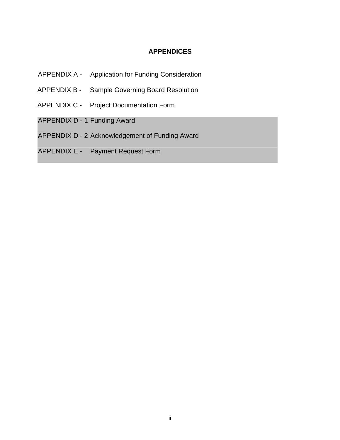# **APPENDICES**

- APPENDIX A Application for Funding Consideration
- APPENDIX B Sample Governing Board Resolution
- APPENDIX C Project Documentation Form
- APPENDIX D 1 Funding Award
- APPENDIX D 2 Acknowledgement of Funding Award
- APPENDIX E Payment Request Form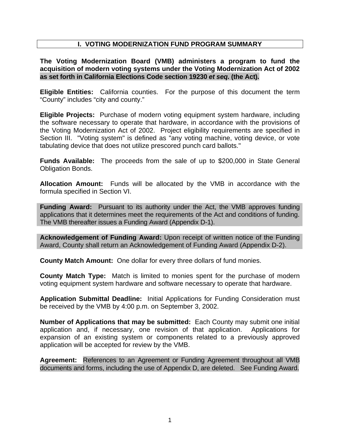# **I. VOTING MODERNIZATION FUND PROGRAM SUMMARY**

### **The Voting Modernization Board (VMB) administers a program to fund the acquisition of modern voting systems under the Voting Modernization Act of 2002 as set forth in California Elections Code section 19230** *et seq.* **(the Act).**

**Eligible Entities:** California counties. For the purpose of this document the term "County" includes "city and county."

**Eligible Projects:** Purchase of modern voting equipment system hardware, including the software necessary to operate that hardware, in accordance with the provisions of the Voting Modernization Act of 2002. Project eligibility requirements are specified in Section III. "Voting system" is defined as "any voting machine, voting device, or vote tabulating device that does not utilize prescored punch card ballots."

**Funds Available:** The proceeds from the sale of up to \$200,000 in State General Obligation Bonds.

**Allocation Amount:** Funds will be allocated by the VMB in accordance with the formula specified in Section VI.

**Funding Award:** Pursuant to its authority under the Act, the VMB approves funding applications that it determines meet the requirements of the Act and conditions of funding. The VMB thereafter issues a Funding Award (Appendix D-1).

**Acknowledgement of Funding Award:** Upon receipt of written notice of the Funding Award, County shall return an Acknowledgement of Funding Award (Appendix D-2).

**County Match Amount:** One dollar for every three dollars of fund monies.

**County Match Type:** Match is limited to monies spent for the purchase of modern voting equipment system hardware and software necessary to operate that hardware.

**Application Submittal Deadline:** Initial Applications for Funding Consideration must be received by the VMB by 4:00 p.m. on September 3, 2002.

**Number of Applications that may be submitted:** Each County may submit one initial application and, if necessary, one revision of that application. Applications for expansion of an existing system or components related to a previously approved application will be accepted for review by the VMB.

**Agreement:** References to an Agreement or Funding Agreement throughout all VMB documents and forms, including the use of Appendix D, are deleted. See Funding Award.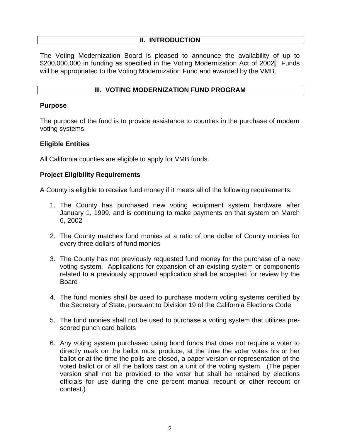## **II. INTRODUCTION**

The Voting Modernization Board is pleased to announce the availability of up to \$200,000,000 in funding as specified in the Voting Modernization Act of 2002. Funds will be appropriated to the Voting Modernization Fund and awarded by the VMB.

### **III. VOTING MODERNIZATION FUND PROGRAM**

#### **Purpose**

The purpose of the fund is to provide assistance to counties in the purchase of modern voting systems.

### **Eligible Entities**

All California counties are eligible to apply for VMB funds.

### **Project Eligibility Requirements**

A County is eligible to receive fund money if it meets all of the following requirements:

- 1. The County has purchased new voting equipment system hardware after January 1, 1999, and is continuing to make payments on that system on March 6, 2002
- 2. The County matches fund monies at a ratio of one dollar of County monies for every three dollars of fund monies
- 3. The County has not previously requested fund money for the purchase of a new voting system. Applications for expansion of an existing system or components related to a previously approved application shall be accepted for review by the Board
- 4. The fund monies shall be used to purchase modern voting systems certified by the Secretary of State, pursuant to Division 19 of the California Elections Code
- 5. The fund monies shall not be used to purchase a voting system that utilizes prescored punch card ballots
- 6. Any voting system purchased using bond funds that does not require a voter to directly mark on the ballot must produce, at the time the voter votes his or her ballot or at the time the polls are closed, a paper version or representation of the voted ballot or of all the ballots cast on a unit of the voting system. (The paper version shall not be provided to the voter but shall be retained by elections officials for use during the one percent manual recount or other recount or contest.)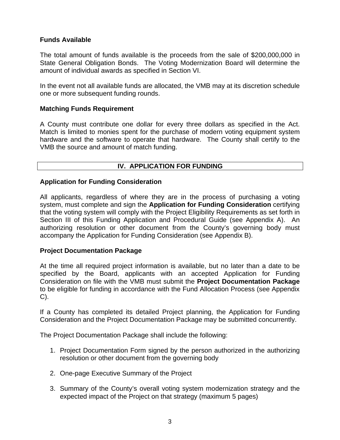# **Funds Available**

The total amount of funds available is the proceeds from the sale of \$200,000,000 in State General Obligation Bonds.The Voting Modernization Board will determine the amount of individual awards as specified in Section VI.

In the event not all available funds are allocated, the VMB may at its discretion schedule one or more subsequent funding rounds.

### **Matching Funds Requirement**

A County must contribute one dollar for every three dollars as specified in the Act. Match is limited to monies spent for the purchase of modern voting equipment system hardware and the software to operate that hardware. The County shall certify to the VMB the source and amount of match funding.

# **IV. APPLICATION FOR FUNDING**

### **Application for Funding Consideration**

All applicants, regardless of where they are in the process of purchasing a voting system, must complete and sign the **Application for Funding Consideration** certifying that the voting system will comply with the Project Eligibility Requirements as set forth in Section III of this Funding Application and Procedural Guide (see Appendix A). An authorizing resolution or other document from the County's governing body must accompany the Application for Funding Consideration (see Appendix B).

#### **Project Documentation Package**

At the time all required project information is available, but no later than a date to be specified by the Board, applicants with an accepted Application for Funding Consideration on file with the VMB must submit the **Project Documentation Package** to be eligible for funding in accordance with the Fund Allocation Process (see Appendix C).

If a County has completed its detailed Project planning, the Application for Funding Consideration and the Project Documentation Package may be submitted concurrently.

The Project Documentation Package shall include the following:

- 1. Project Documentation Form signed by the person authorized in the authorizing resolution or other document from the governing body
- 2. One-page Executive Summary of the Project
- 3. Summary of the County's overall voting system modernization strategy and the expected impact of the Project on that strategy (maximum 5 pages)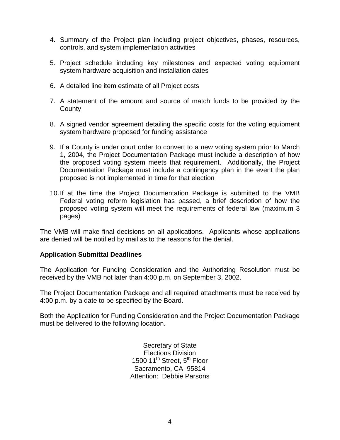- 4. Summary of the Project plan including project objectives, phases, resources, controls, and system implementation activities
- 5. Project schedule including key milestones and expected voting equipment system hardware acquisition and installation dates
- 6. A detailed line item estimate of all Project costs
- 7. A statement of the amount and source of match funds to be provided by the **County**
- 8. A signed vendor agreement detailing the specific costs for the voting equipment system hardware proposed for funding assistance
- 9. If a County is under court order to convert to a new voting system prior to March 1, 2004, the Project Documentation Package must include a description of how the proposed voting system meets that requirement. Additionally, the Project Documentation Package must include a contingency plan in the event the plan proposed is not implemented in time for that election
- 10.If at the time the Project Documentation Package is submitted to the VMB Federal voting reform legislation has passed, a brief description of how the proposed voting system will meet the requirements of federal law (maximum 3 pages)

The VMB will make final decisions on all applications. Applicants whose applications are denied will be notified by mail as to the reasons for the denial.

### **Application Submittal Deadlines**

The Application for Funding Consideration and the Authorizing Resolution must be received by the VMB not later than 4:00 p.m. on September 3, 2002.

The Project Documentation Package and all required attachments must be received by 4:00 p.m. by a date to be specified by the Board.

Both the Application for Funding Consideration and the Project Documentation Package must be delivered to the following location.

> Secretary of State Elections Division 1500 11<sup>th</sup> Street, 5<sup>th</sup> Floor Sacramento, CA 95814 Attention: Debbie Parsons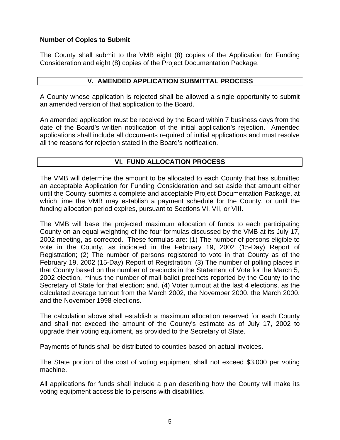# **Number of Copies to Submit**

The County shall submit to the VMB eight (8) copies of the Application for Funding Consideration and eight (8) copies of the Project Documentation Package.

# **V. AMENDED APPLICATION SUBMITTAL PROCESS**

A County whose application is rejected shall be allowed a single opportunity to submit an amended version of that application to the Board.

An amended application must be received by the Board within 7 business days from the date of the Board's written notification of the initial application's rejection. Amended applications shall include all documents required of initial applications and must resolve all the reasons for rejection stated in the Board's notification.

# **VI. FUND ALLOCATION PROCESS**

The VMB will determine the amount to be allocated to each County that has submitted an acceptable Application for Funding Consideration and set aside that amount either until the County submits a complete and acceptable Project Documentation Package, at which time the VMB may establish a payment schedule for the County, or until the funding allocation period expires, pursuant to Sections VI, VII, or VIII.

The VMB will base the projected maximum allocation of funds to each participating County on an equal weighting of the four formulas discussed by the VMB at its July 17, 2002 meeting, as corrected. These formulas are: (1) The number of persons eligible to vote in the County, as indicated in the February 19, 2002 (15-Day) Report of Registration; (2) The number of persons registered to vote in that County as of the February 19, 2002 (15-Day) Report of Registration; (3) The number of polling places in that County based on the number of precincts in the Statement of Vote for the March 5, 2002 election, minus the number of mail ballot precincts reported by the County to the Secretary of State for that election; and, (4) Voter turnout at the last 4 elections, as the calculated average turnout from the March 2002, the November 2000, the March 2000, and the November 1998 elections.

The calculation above shall establish a maximum allocation reserved for each County and shall not exceed the amount of the County's estimate as of July 17, 2002 to upgrade their voting equipment, as provided to the Secretary of State.

Payments of funds shall be distributed to counties based on actual invoices.

The State portion of the cost of voting equipment shall not exceed \$3,000 per voting machine.

All applications for funds shall include a plan describing how the County will make its voting equipment accessible to persons with disabilities.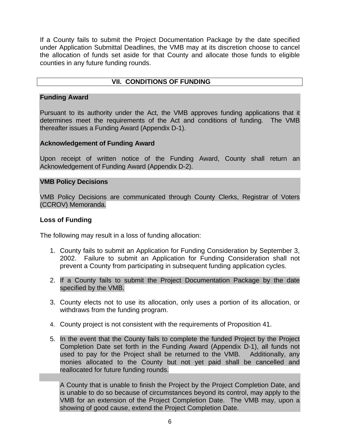If a County fails to submit the Project Documentation Package by the date specified under Application Submittal Deadlines, the VMB may at its discretion choose to cancel the allocation of funds set aside for that County and allocate those funds to eligible counties in any future funding rounds.

# **VII. CONDITIONS OF FUNDING**

### **Funding Award**

Pursuant to its authority under the Act, the VMB approves funding applications that it determines meet the requirements of the Act and conditions of funding. The VMB thereafter issues a Funding Award (Appendix D-1).

### **Acknowledgement of Funding Award**

Upon receipt of written notice of the Funding Award, County shall return an Acknowledgement of Funding Award (Appendix D-2).

#### **VMB Policy Decisions**

VMB Policy Decisions are communicated through County Clerks, Registrar of Voters (CCROV) Memoranda.

#### **Loss of Funding**

The following may result in a loss of funding allocation:

- 1. County fails to submit an Application for Funding Consideration by September 3, 2002. Failure to submit an Application for Funding Consideration shall not prevent a County from participating in subsequent funding application cycles.
- 2. If a County fails to submit the Project Documentation Package by the date specified by the VMB.
- 3. County elects not to use its allocation, only uses a portion of its allocation, or withdraws from the funding program.
- 4. County project is not consistent with the requirements of Proposition 41.
- 5. In the event that the County fails to complete the funded Project by the Project Completion Date set forth in the Funding Award (Appendix D-1), all funds not used to pay for the Project shall be returned to the VMB. Additionally, any monies allocated to the County but not yet paid shall be cancelled and reallocated for future funding rounds.

A County that is unable to finish the Project by the Project Completion Date, and is unable to do so because of circumstances beyond its control, may apply to the VMB for an extension of the Project Completion Date. The VMB may, upon a showing of good cause, extend the Project Completion Date.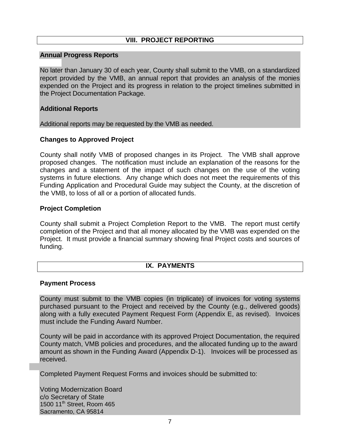# **VIII. PROJECT REPORTING**

# **Annual Progress Reports**

No later than January 30 of each year, County shall submit to the VMB, on a standardized report provided by the VMB, an annual report that provides an analysis of the monies expended on the Project and its progress in relation to the project timelines submitted in the Project Documentation Package.

### **Additional Reports**

Additional reports may be requested by the VMB as needed.

### **Changes to Approved Project**

County shall notify VMB of proposed changes in its Project. The VMB shall approve proposed changes. The notification must include an explanation of the reasons for the changes and a statement of the impact of such changes on the use of the voting systems in future elections. Any change which does not meet the requirements of this Funding Application and Procedural Guide may subject the County, at the discretion of the VMB, to loss of all or a portion of allocated funds.

### **Project Completion**

County shall submit a Project Completion Report to the VMB. The report must certify completion of the Project and that all money allocated by the VMB was expended on the Project. It must provide a financial summary showing final Project costs and sources of funding.

### **IX. PAYMENTS**

#### **Payment Process**

County must submit to the VMB copies (in triplicate) of invoices for voting systems purchased pursuant to the Project and received by the County (e.g., delivered goods) along with a fully executed Payment Request Form (Appendix E, as revised). Invoices must include the Funding Award Number.

County will be paid in accordance with its approved Project Documentation, the required County match, VMB policies and procedures, and the allocated funding up to the award amount as shown in the Funding Award (Appendix D-1). Invoices will be processed as received.

Completed Payment Request Forms and invoices should be submitted to:

Voting Modernization Board c/o Secretary of State 1500 11<sup>th</sup> Street, Room 465 Sacramento, CA 95814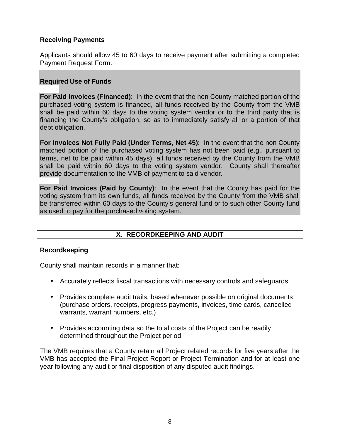# **Receiving Payments**

Applicants should allow 45 to 60 days to receive payment after submitting a completed Payment Request Form.

# **Required Use of Funds**

**For Paid Invoices (Financed)**: In the event that the non County matched portion of the purchased voting system is financed, all funds received by the County from the VMB shall be paid within 60 days to the voting system vendor or to the third party that is financing the County's obligation, so as to immediately satisfy all or a portion of that debt obligation.

**For Invoices Not Fully Paid (Under Terms, Net 45)**: In the event that the non County matched portion of the purchased voting system has not been paid (e.g., pursuant to terms, net to be paid within 45 days), all funds received by the County from the VMB shall be paid within 60 days to the voting system vendor. County shall thereafter provide documentation to the VMB of payment to said vendor.

**For Paid Invoices (Paid by County)**: In the event that the County has paid for the voting system from its own funds, all funds received by the County from the VMB shall be transferred within 60 days to the County's general fund or to such other County fund as used to pay for the purchased voting system.

# **X. RECORDKEEPING AND AUDIT**

### **Recordkeeping**

County shall maintain records in a manner that:

- Accurately reflects fiscal transactions with necessary controls and safeguards
- Provides complete audit trails, based whenever possible on original documents (purchase orders, receipts, progress payments, invoices, time cards, cancelled warrants, warrant numbers, etc.)
- Provides accounting data so the total costs of the Project can be readily determined throughout the Project period

The VMB requires that a County retain all Project related records for five years after the VMB has accepted the Final Project Report or Project Termination and for at least one year following any audit or final disposition of any disputed audit findings.